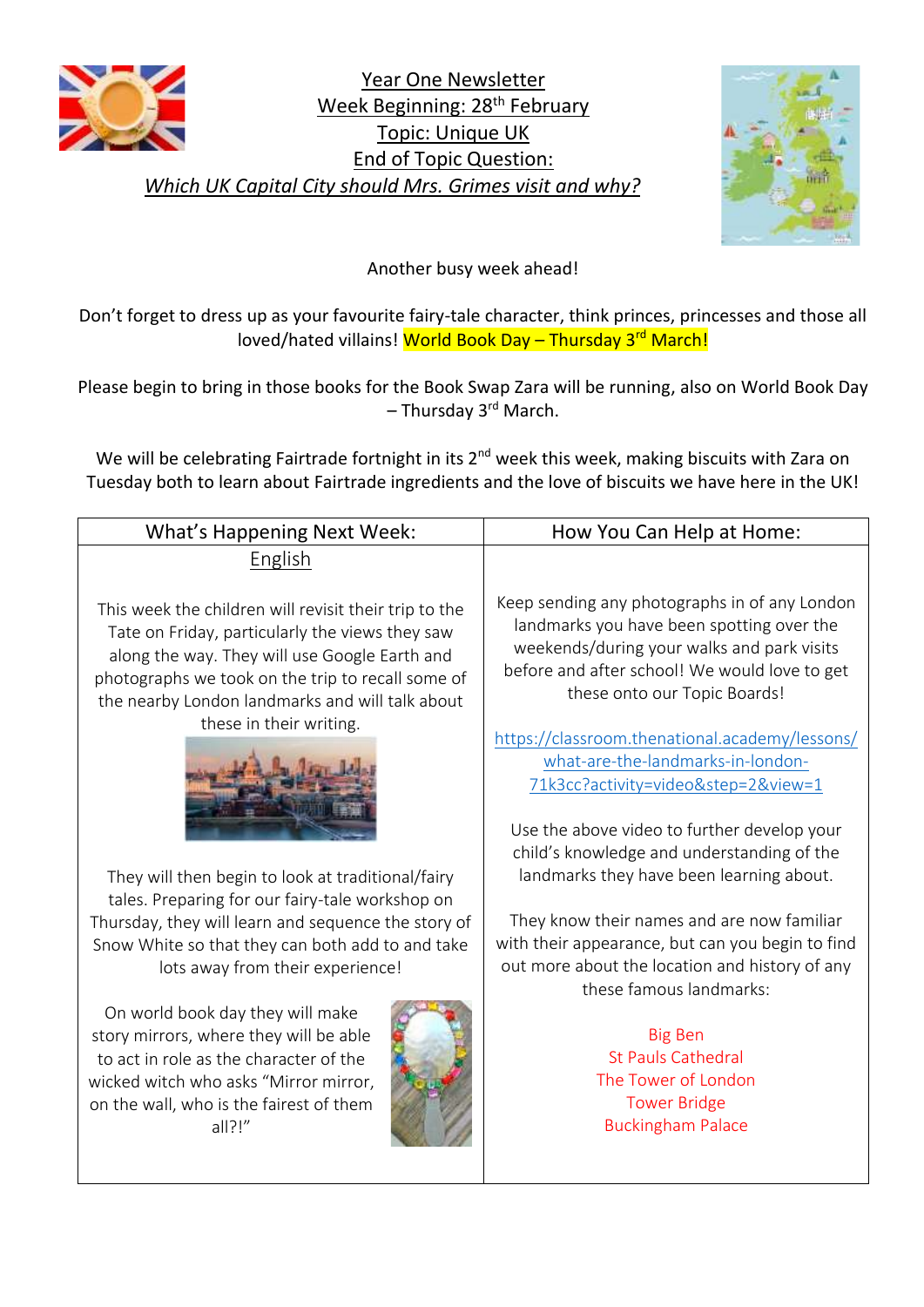

Year One Newsletter Week Beginning: 28<sup>th</sup> February Topic: Unique UK End of Topic Question: *Which UK Capital City should Mrs. Grimes visit and why?*



Another busy week ahead!

Don't forget to dress up as your favourite fairy-tale character, think princes, princesses and those all loved/hated villains! World Book Day - Thursday 3<sup>rd</sup> March!

Please begin to bring in those books for the Book Swap Zara will be running, also on World Book Day  $-$  Thursday 3<sup>rd</sup> March.

We will be celebrating Fairtrade fortnight in its 2<sup>nd</sup> week this week, making biscuits with Zara on Tuesday both to learn about Fairtrade ingredients and the love of biscuits we have here in the UK!

| What's Happening Next Week:                                                                                                                                                                                                                                                                                                                                                                                | How You Can Help at Home:                                                                                                                                                                                                                                                                                                                                                                                                                            |
|------------------------------------------------------------------------------------------------------------------------------------------------------------------------------------------------------------------------------------------------------------------------------------------------------------------------------------------------------------------------------------------------------------|------------------------------------------------------------------------------------------------------------------------------------------------------------------------------------------------------------------------------------------------------------------------------------------------------------------------------------------------------------------------------------------------------------------------------------------------------|
| English                                                                                                                                                                                                                                                                                                                                                                                                    |                                                                                                                                                                                                                                                                                                                                                                                                                                                      |
| This week the children will revisit their trip to the<br>Tate on Friday, particularly the views they saw<br>along the way. They will use Google Earth and<br>photographs we took on the trip to recall some of<br>the nearby London landmarks and will talk about<br>these in their writing.                                                                                                               | Keep sending any photographs in of any London<br>landmarks you have been spotting over the<br>weekends/during your walks and park visits<br>before and after school! We would love to get<br>these onto our Topic Boards!<br>https://classroom.thenational.academy/lessons/<br>what-are-the-landmarks-in-london-<br>71k3cc?activity=video&step=2&view=1<br>Use the above video to further develop your<br>child's knowledge and understanding of the |
| They will then begin to look at traditional/fairy                                                                                                                                                                                                                                                                                                                                                          | landmarks they have been learning about.                                                                                                                                                                                                                                                                                                                                                                                                             |
| tales. Preparing for our fairy-tale workshop on<br>Thursday, they will learn and sequence the story of<br>Snow White so that they can both add to and take<br>lots away from their experience!<br>On world book day they will make<br>story mirrors, where they will be able<br>to act in role as the character of the<br>wicked witch who asks "Mirror mirror,<br>on the wall, who is the fairest of them | They know their names and are now familiar<br>with their appearance, but can you begin to find<br>out more about the location and history of any<br>these famous landmarks:<br><b>Big Ben</b><br><b>St Pauls Cathedral</b><br>The Tower of London<br><b>Tower Bridge</b>                                                                                                                                                                             |
| all?!"                                                                                                                                                                                                                                                                                                                                                                                                     | <b>Buckingham Palace</b>                                                                                                                                                                                                                                                                                                                                                                                                                             |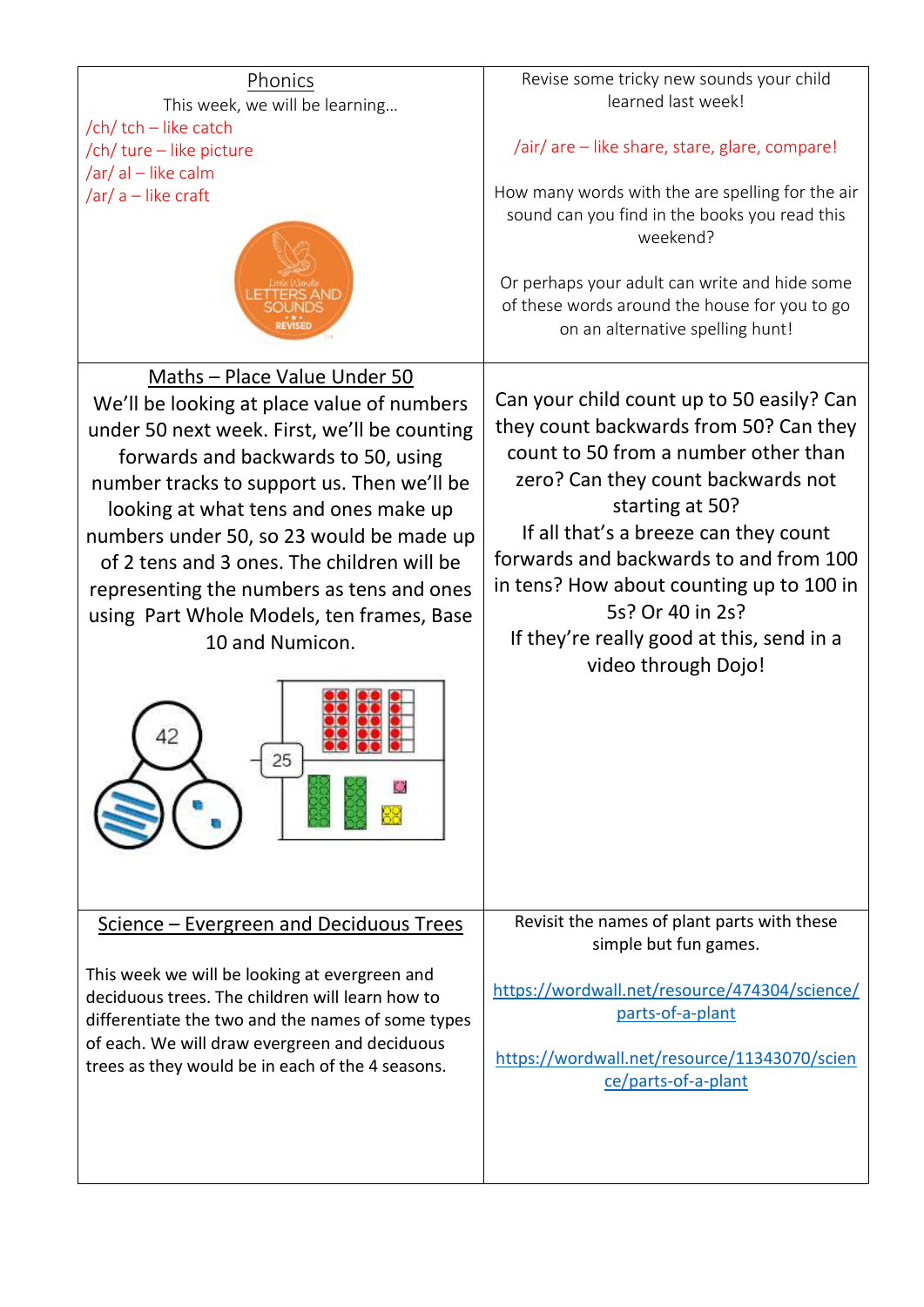## Revise some tricky new sounds your child Phonics learned last week! This week, we will be learning… /ch/ tch – like catch /air/ are – like share, stare, glare, compare! /ch/ ture – like picture /ar/ al – like calm /ar/ a – like craft How many words with the are spelling for the air sound can you find in the books you read this weekend? Or perhaps your adult can write and hide some of these words around the house for you to go on an alternative spelling hunt! Maths – Place Value Under 50 Can your child count up to 50 easily? Can We'll be looking at place value of numbers they count backwards from 50? Can they under 50 next week. First, we'll be counting count to 50 from a number other than forwards and backwards to 50, using zero? Can they count backwards not number tracks to support us. Then we'll be starting at 50? looking at what tens and ones make up If all that's a breeze can they count numbers under 50, so 23 would be made up forwards and backwards to and from 100 of 2 tens and 3 ones. The children will be in tens? How about counting up to 100 in representing the numbers as tens and ones 5s? Or 40 in 2s? using Part Whole Models, ten frames, Base If they're really good at this, send in a 10 and Numicon. video through Dojo! 25 Revisit the names of plant parts with these Science – Evergreen and Deciduous Trees simple but fun games. This week we will be looking at evergreen and [https://wordwall.net/resource/474304/science/](https://wordwall.net/resource/474304/science/parts-of-a-plant) deciduous trees. The children will learn how to [parts-of-a-plant](https://wordwall.net/resource/474304/science/parts-of-a-plant) differentiate the two and the names of some types of each. We will draw evergreen and deciduous [https://wordwall.net/resource/11343070/scien](https://wordwall.net/resource/11343070/science/parts-of-a-plant) trees as they would be in each of the 4 seasons. [ce/parts-of-a-plant](https://wordwall.net/resource/11343070/science/parts-of-a-plant)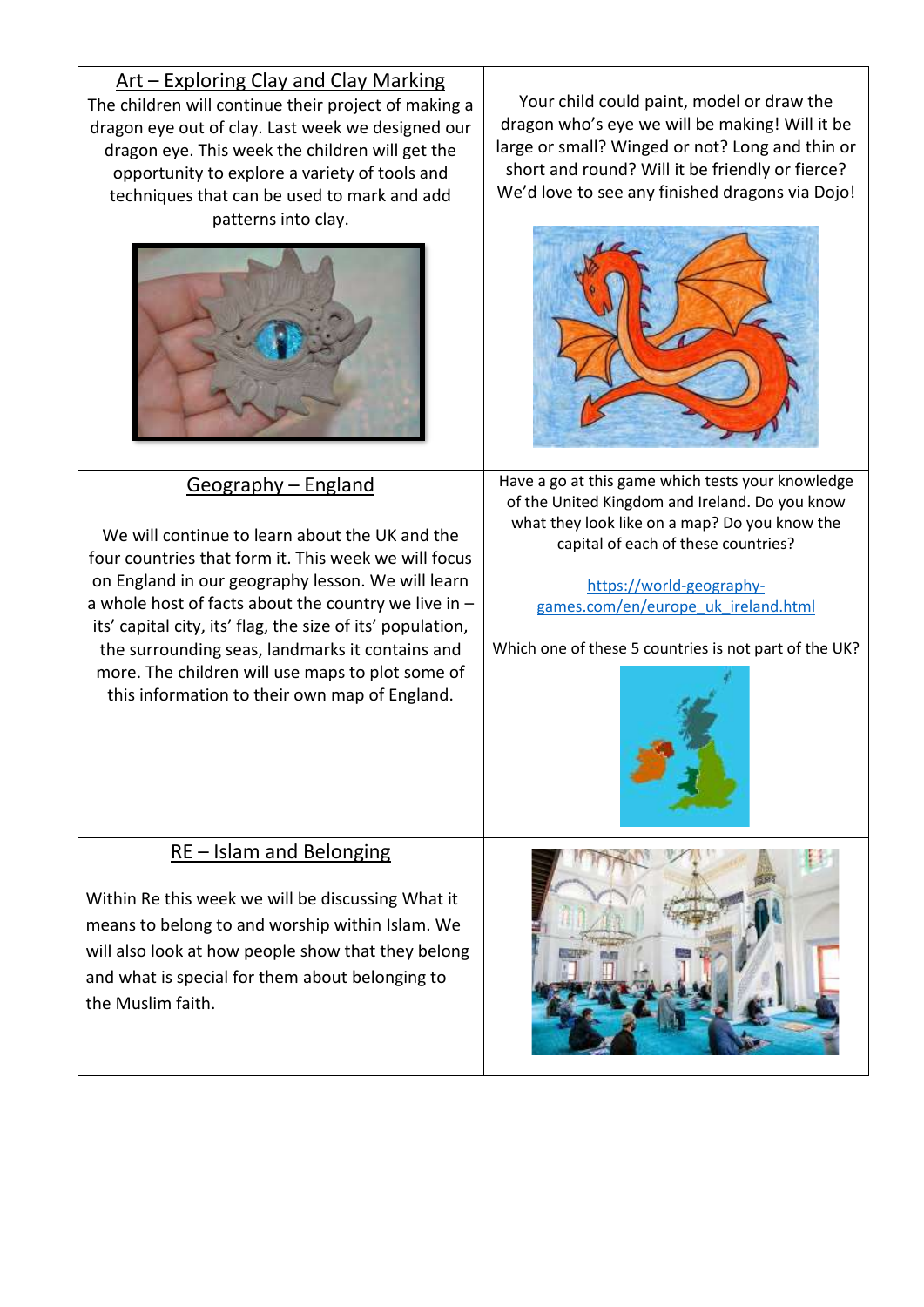Art – Exploring Clay and Clay Marking The children will continue their project of making a dragon eye out of clay. Last week we designed our dragon eye. This week the children will get the opportunity to explore a variety of tools and techniques that can be used to mark and add patterns into clay.



## Geography – England

We will continue to learn about the UK and the four countries that form it. This week we will focus on England in our geography lesson. We will learn a whole host of facts about the country we live in – its' capital city, its' flag, the size of its' population, the surrounding seas, landmarks it contains and more. The children will use maps to plot some of this information to their own map of England.

Your child could paint, model or draw the dragon who's eye we will be making! Will it be large or small? Winged or not? Long and thin or short and round? Will it be friendly or fierce? We'd love to see any finished dragons via Dojo!



Have a go at this game which tests your knowledge of the United Kingdom and Ireland. Do you know what they look like on a map? Do you know the capital of each of these countries?

> [https://world-geography](https://world-geography-games.com/en/europe_uk_ireland.html)[games.com/en/europe\\_uk\\_ireland.html](https://world-geography-games.com/en/europe_uk_ireland.html)

Which one of these 5 countries is not part of the UK?



## RE – Islam and Belonging

Within Re this week we will be discussing What it means to belong to and worship within Islam. We will also look at how people show that they belong and what is special for them about belonging to the Muslim faith.